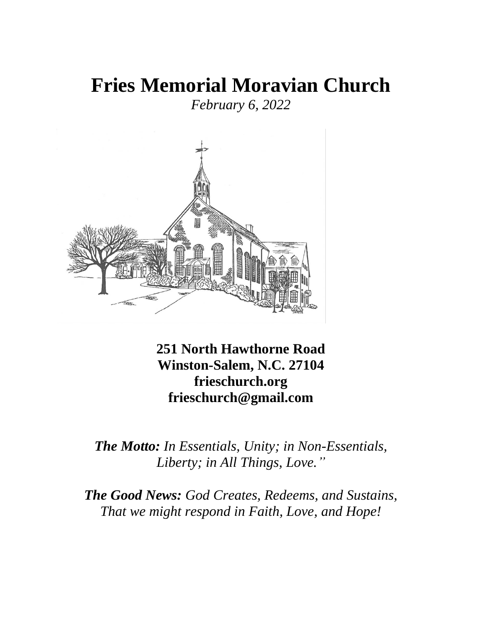# **Fries Memorial Moravian Church**

*February 6, 2022*



**251 North Hawthorne Road Winston-Salem, N.C. 27104 frieschurch.org frieschurch@gmail.com**

*The Motto: In Essentials, Unity; in Non-Essentials, Liberty; in All Things, Love."*

*The Good News: God Creates, Redeems, and Sustains, That we might respond in Faith, Love, and Hope!*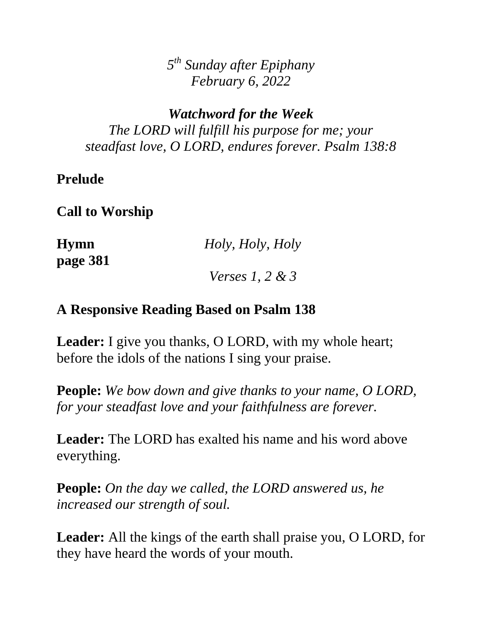*5 th Sunday after Epiphany February 6, 2022*

*Watchword for the Week The LORD will fulfill his purpose for me; your steadfast love, O LORD, endures forever. Psalm 138:8* 

# **Prelude**

**Call to Worship**

**page 381**

**Hymn** *Holy, Holy, Holy* 

*Verses 1, 2 & 3*

# **A Responsive Reading Based on Psalm 138**

**Leader:** I give you thanks, O LORD, with my whole heart; before the idols of the nations I sing your praise.

**People:** *We bow down and give thanks to your name, O LORD, for your steadfast love and your faithfulness are forever.*

**Leader:** The LORD has exalted his name and his word above everything.

**People:** *On the day we called, the LORD answered us, he increased our strength of soul.*

**Leader:** All the kings of the earth shall praise you, O LORD, for they have heard the words of your mouth.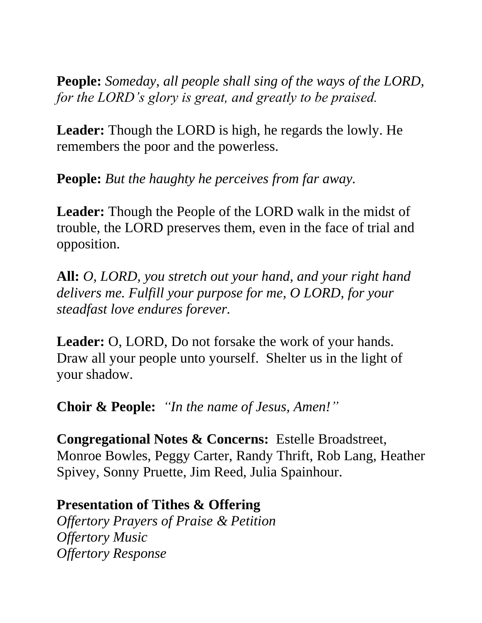**People:** *Someday, all people shall sing of the ways of the LORD, for the LORD's glory is great, and greatly to be praised.*

**Leader:** Though the LORD is high, he regards the lowly. He remembers the poor and the powerless.

**People:** *But the haughty he perceives from far away.* 

**Leader:** Though the People of the LORD walk in the midst of trouble, the LORD preserves them, even in the face of trial and opposition.

**All:** *O, LORD, you stretch out your hand, and your right hand delivers me. Fulfill your purpose for me, O LORD, for your steadfast love endures forever.*

**Leader:** O, LORD, Do not forsake the work of your hands. Draw all your people unto yourself. Shelter us in the light of your shadow.

**Choir & People:** *"In the name of Jesus, Amen!"*

**Congregational Notes & Concerns:** Estelle Broadstreet, Monroe Bowles, Peggy Carter, Randy Thrift, Rob Lang, Heather Spivey, Sonny Pruette, Jim Reed, Julia Spainhour.

**Presentation of Tithes & Offering**

*Offertory Prayers of Praise & Petition Offertory Music Offertory Response*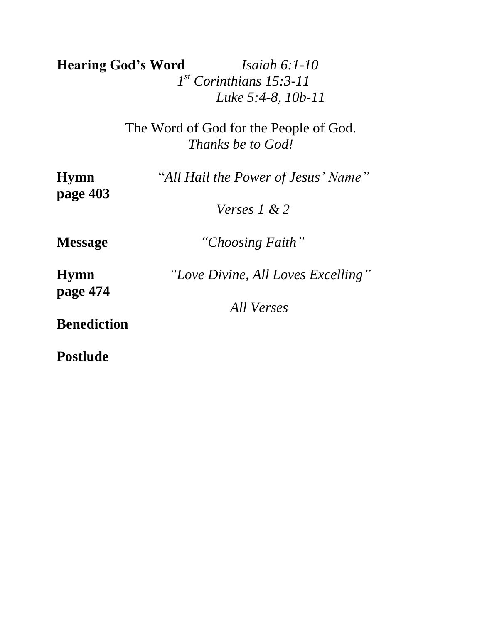**Hearing God's Word** *Isaiah 6:1-10 1 st Corinthians 15:3-11 Luke 5:4-8, 10b-11*

> The Word of God for the People of God. *Thanks be to God!*

| <b>Hymn</b><br>page 403 | "All Hail the Power of Jesus' Name" |
|-------------------------|-------------------------------------|
|                         | Verses 1 & 2                        |
| <b>Message</b>          | "Choosing Faith"                    |
| <b>Hymn</b>             | "Love Divine, All Loves Excelling"  |
| page 474                | All Verses                          |
| <b>Benediction</b>      |                                     |
| <b>Postlude</b>         |                                     |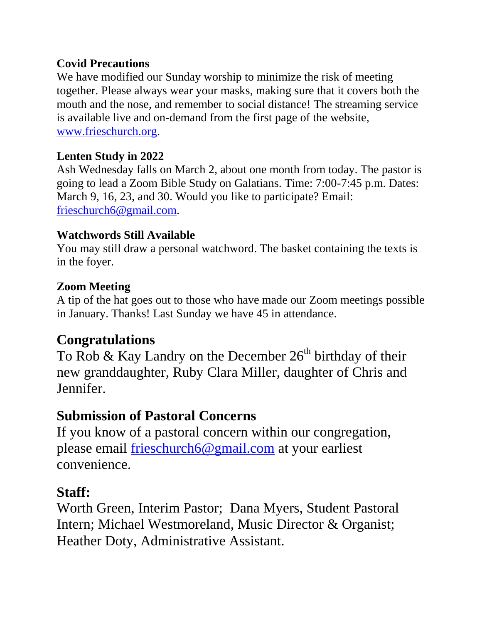#### **Covid Precautions**

We have modified our Sunday worship to minimize the risk of meeting together. Please always wear your masks, making sure that it covers both the mouth and the nose, and remember to social distance! The streaming service is available live and on-demand from the first page of the website, [www.frieschurch.org.](http://www.frieschurch.org/)

### **Lenten Study in 2022**

Ash Wednesday falls on March 2, about one month from today. The pastor is going to lead a Zoom Bible Study on Galatians. Time: 7:00-7:45 p.m. Dates: March 9, 16, 23, and 30. Would you like to participate? Email: [frieschurch6@gmail.com.](mailto:frieschurch6@gmail.com)

### **Watchwords Still Available**

You may still draw a personal watchword. The basket containing the texts is in the foyer.

### **Zoom Meeting**

A tip of the hat goes out to those who have made our Zoom meetings possible in January. Thanks! Last Sunday we have 45 in attendance.

# **Congratulations**

To Rob & Kay Landry on the December  $26<sup>th</sup>$  birthday of their new granddaughter, Ruby Clara Miller, daughter of Chris and Jennifer.

# **Submission of Pastoral Concerns**

If you know of a pastoral concern within our congregation, please email [frieschurch6@gmail.com](mailto:frieschurch6@gmail.com) at your earliest convenience.

# **Staff:**

Worth Green, Interim Pastor; Dana Myers, Student Pastoral Intern; Michael Westmoreland, Music Director & Organist; Heather Doty, Administrative Assistant.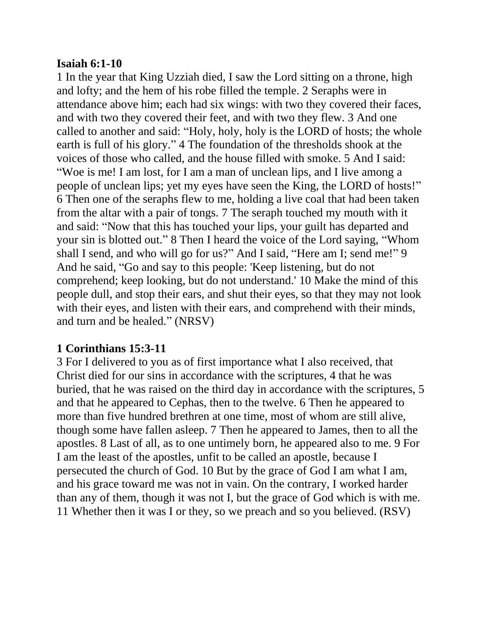#### **Isaiah 6:1-10**

1 In the year that King Uzziah died, I saw the Lord sitting on a throne, high and lofty; and the hem of his robe filled the temple. 2 Seraphs were in attendance above him; each had six wings: with two they covered their faces, and with two they covered their feet, and with two they flew. 3 And one called to another and said: "Holy, holy, holy is the LORD of hosts; the whole earth is full of his glory." 4 The foundation of the thresholds shook at the voices of those who called, and the house filled with smoke. 5 And I said: "Woe is me! I am lost, for I am a man of unclean lips, and I live among a people of unclean lips; yet my eyes have seen the King, the LORD of hosts!" 6 Then one of the seraphs flew to me, holding a live coal that had been taken from the altar with a pair of tongs. 7 The seraph touched my mouth with it and said: "Now that this has touched your lips, your guilt has departed and your sin is blotted out." 8 Then I heard the voice of the Lord saying, "Whom shall I send, and who will go for us?" And I said, "Here am I; send me!" 9 And he said, "Go and say to this people: 'Keep listening, but do not comprehend; keep looking, but do not understand.' 10 Make the mind of this people dull, and stop their ears, and shut their eyes, so that they may not look with their eyes, and listen with their ears, and comprehend with their minds, and turn and be healed." (NRSV)

#### **1 Corinthians 15:3-11**

3 For I delivered to you as of first importance what I also received, that Christ died for our sins in accordance with the scriptures, 4 that he was buried, that he was raised on the third day in accordance with the scriptures, 5 and that he appeared to Cephas, then to the twelve. 6 Then he appeared to more than five hundred brethren at one time, most of whom are still alive, though some have fallen asleep. 7 Then he appeared to James, then to all the apostles. 8 Last of all, as to one untimely born, he appeared also to me. 9 For I am the least of the apostles, unfit to be called an apostle, because I persecuted the church of God. 10 But by the grace of God I am what I am, and his grace toward me was not in vain. On the contrary, I worked harder than any of them, though it was not I, but the grace of God which is with me. 11 Whether then it was I or they, so we preach and so you believed. (RSV)